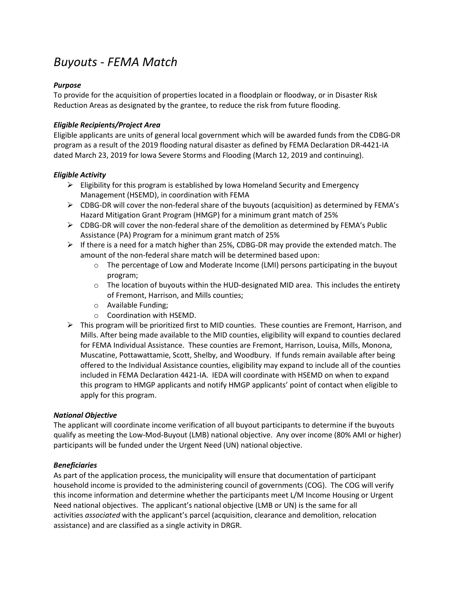# *Buyouts - FEMA Match*

# *Purpose*

To provide for the acquisition of properties located in a floodplain or floodway, or in Disaster Risk Reduction Areas as designated by the grantee, to reduce the risk from future flooding.

# *Eligible Recipients/Project Area*

Eligible applicants are units of general local government which will be awarded funds from the CDBG-DR program as a result of the 2019 flooding natural disaster as defined by FEMA Declaration DR-4421-IA dated March 23, 2019 for Iowa Severe Storms and Flooding (March 12, 2019 and continuing).

# *Eligible Activity*

- $\triangleright$  Eligibility for this program is established by Iowa Homeland Security and Emergency Management (HSEMD), in coordination with FEMA
- $\triangleright$  CDBG-DR will cover the non-federal share of the buyouts (acquisition) as determined by FEMA's Hazard Mitigation Grant Program (HMGP) for a minimum grant match of 25%
- $\triangleright$  CDBG-DR will cover the non-federal share of the demolition as determined by FEMA's Public Assistance (PA) Program for a minimum grant match of 25%
- $\triangleright$  If there is a need for a match higher than 25%, CDBG-DR may provide the extended match. The amount of the non-federal share match will be determined based upon:
	- $\circ$  The percentage of Low and Moderate Income (LMI) persons participating in the buyout program;
	- $\circ$  The location of buyouts within the HUD-designated MID area. This includes the entirety of Fremont, Harrison, and Mills counties;
	- o Available Funding;
	- o Coordination with HSEMD.
- $\triangleright$  This program will be prioritized first to MID counties. These counties are Fremont, Harrison, and Mills. After being made available to the MID counties, eligibility will expand to counties declared for FEMA Individual Assistance. These counties are Fremont, Harrison, Louisa, Mills, Monona, Muscatine, Pottawattamie, Scott, Shelby, and Woodbury. If funds remain available after being offered to the Individual Assistance counties, eligibility may expand to include all of the counties included in FEMA Declaration 4421-IA. IEDA will coordinate with HSEMD on when to expand this program to HMGP applicants and notify HMGP applicants' point of contact when eligible to apply for this program.

### *National Objective*

The applicant will coordinate income verification of all buyout participants to determine if the buyouts qualify as meeting the Low-Mod-Buyout (LMB) national objective. Any over income (80% AMI or higher) participants will be funded under the Urgent Need (UN) national objective.

### *Beneficiaries*

As part of the application process, the municipality will ensure that documentation of participant household income is provided to the administering council of governments (COG). The COG will verify this income information and determine whether the participants meet L/M Income Housing or Urgent Need national objectives. The applicant's national objective (LMB or UN) is the same for all activities *associated* with the applicant's parcel (acquisition, clearance and demolition, relocation assistance) and are classified as a single activity in DRGR.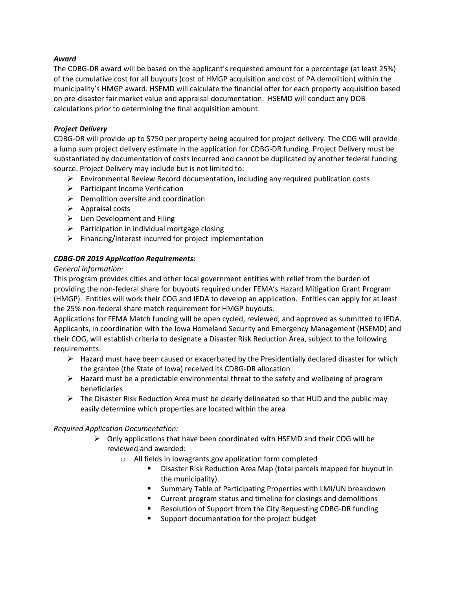# *Award*

The CDBG-DR award will be based on the applicant's requested amount for a percentage (at least 25%) of the cumulative cost for all buyouts (cost of HMGP acquisition and cost of PA demolition) within the municipality's HMGP award. HSEMD will calculate the financial offer for each property acquisition based on pre-disaster fair market value and appraisal documentation. HSEMD will conduct any DOB calculations prior to determining the final acquisition amount.

## *Project Delivery*

CDBG-DR will provide up to \$750 per property being acquired for project delivery. The COG will provide a lump sum project delivery estimate in the application for CDBG-DR funding. Project Delivery must be substantiated by documentation of costs incurred and cannot be duplicated by another federal funding source. Project Delivery may include but is not limited to:

- $\triangleright$  Environmental Review Record documentation, including any required publication costs
- $\triangleright$  Participant Income Verification
- $\triangleright$  Demolition oversite and coordination
- $\triangleright$  Appraisal costs
- $\triangleright$  Lien Development and Filing
- $\triangleright$  Participation in individual mortgage closing
- $\triangleright$  Financing/Interest incurred for project implementation

# *CDBG-DR 2019 Application Requirements:*

### *General Information:*

This program provides cities and other local government entities with relief from the burden of providing the non-federal share for buyouts required under FEMA's Hazard Mitigation Grant Program (HMGP). Entities will work their COG and IEDA to develop an application. Entities can apply for at least the 25% non-federal share match requirement for HMGP buyouts.

Applications for FEMA Match funding will be open cycled, reviewed, and approved as submitted to IEDA. Applicants, in coordination with the Iowa Homeland Security and Emergency Management (HSEMD) and their COG, will establish criteria to designate a Disaster Risk Reduction Area, subject to the following requirements:

- $\triangleright$  Hazard must have been caused or exacerbated by the Presidentially declared disaster for which the grantee (the State of Iowa) received its CDBG-DR allocation
- $\triangleright$  Hazard must be a predictable environmental threat to the safety and wellbeing of program beneficiaries
- $\triangleright$  The Disaster Risk Reduction Area must be clearly delineated so that HUD and the public may easily determine which properties are located within the area

### *Required Application Documentation:*

- $\triangleright$  Only applications that have been coordinated with HSEMD and their COG will be reviewed and awarded:
	- o All fields in Iowagrants.gov application form completed
		- **Disaster Risk Reduction Area Map (total parcels mapped for buyout in** the municipality).
		- **Summary Table of Participating Properties with LMI/UN breakdown**
		- Current program status and timeline for closings and demolitions
		- Resolution of Support from the City Requesting CDBG-DR funding
		- **Support documentation for the project budget**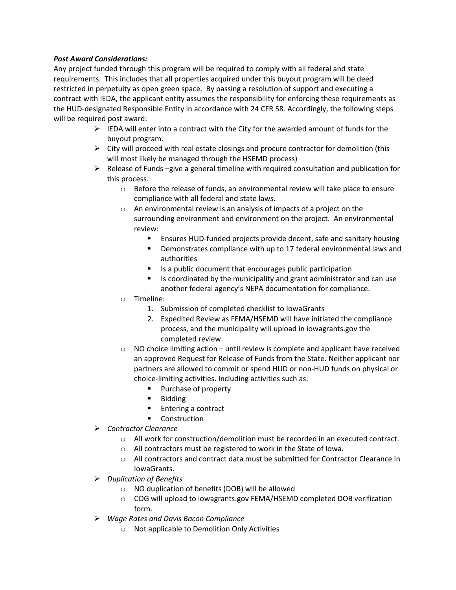# *Post Award Considerations:*

Any project funded through this program will be required to comply with all federal and state requirements. This includes that all properties acquired under this buyout program will be deed restricted in perpetuity as open green space. By passing a resolution of support and executing a contract with IEDA, the applicant entity assumes the responsibility for enforcing these requirements as the HUD-designated Responsible Entity in accordance with 24 CFR 58. Accordingly, the following steps will be required post award:

- $\triangleright$  IEDA will enter into a contract with the City for the awarded amount of funds for the buyout program.
- $\triangleright$  City will proceed with real estate closings and procure contractor for demolition (this will most likely be managed through the HSEMD process)
- $\triangleright$  Release of Funds –give a general timeline with required consultation and publication for this process.
	- o Before the release of funds, an environmental review will take place to ensure compliance with all federal and state laws.
	- o An environmental review is an analysis of impacts of a project on the surrounding environment and environment on the project. An environmental review:
		- **Ensures HUD-funded projects provide decent, safe and sanitary housing**
		- **•** Demonstrates compliance with up to 17 federal environmental laws and authorities
		- $\blacksquare$  Is a public document that encourages public participation
		- $\blacksquare$  Is coordinated by the municipality and grant administrator and can use another federal agency's NEPA documentation for compliance.
	- o Timeline:
		- 1. Submission of completed checklist to IowaGrants
		- 2. Expedited Review as FEMA/HSEMD will have initiated the compliance process, and the municipality will upload in iowagrants.gov the completed review.
	- $\circ$  NO choice limiting action until review is complete and applicant have received an approved Request for Release of Funds from the State. Neither applicant nor partners are allowed to commit or spend HUD or non-HUD funds on physical or choice-limiting activities. Including activities such as:
		- **Purchase of property**
		- **Bidding**
		- **Entering a contract**
		- **Construction**
- *Contractor Clearance*
	- o All work for construction/demolition must be recorded in an executed contract.
	- o All contractors must be registered to work in the State of Iowa.
	- o All contractors and contract data must be submitted for Contractor Clearance in IowaGrants.
- *Duplication of Benefits* 
	- o NO duplication of benefits (DOB) will be allowed
	- o COG will upload to iowagrants.gov FEMA/HSEMD completed DOB verification form.
- *Wage Rates and Davis Bacon Compliance* 
	- o Not applicable to Demolition Only Activities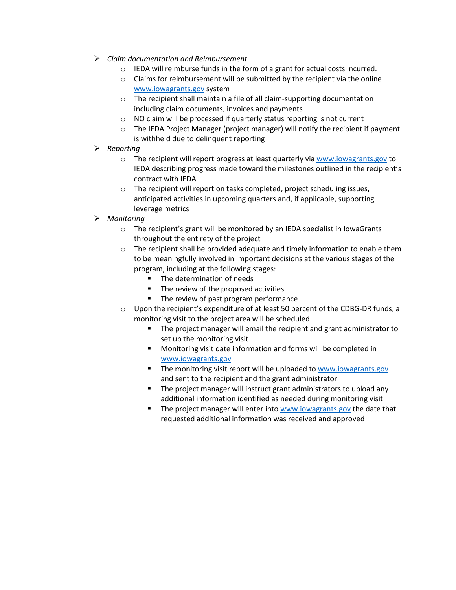- *Claim documentation and Reimbursement*
	- o IEDA will reimburse funds in the form of a grant for actual costs incurred.
	- o Claims for reimbursement will be submitted by the recipient via the online [www.iowagrants.gov](http://www.iowagrants.gov/) system
	- o The recipient shall maintain a file of all claim-supporting documentation including claim documents, invoices and payments
	- o NO claim will be processed if quarterly status reporting is not current
	- $\circ$  The IEDA Project Manager (project manager) will notify the recipient if payment is withheld due to delinquent reporting
- *Reporting*
	- $\circ$  The recipient will report progress at least quarterly via [www.iowagrants.gov](http://www.iowagrants.gov/) to IEDA describing progress made toward the milestones outlined in the recipient's contract with IEDA
	- o The recipient will report on tasks completed, project scheduling issues, anticipated activities in upcoming quarters and, if applicable, supporting leverage metrics
- *Monitoring* 
	- o The recipient's grant will be monitored by an IEDA specialist in IowaGrants throughout the entirety of the project
	- $\circ$  The recipient shall be provided adequate and timely information to enable them to be meaningfully involved in important decisions at the various stages of the program, including at the following stages:
		- **The determination of needs**
		- The review of the proposed activities
		- **The review of past program performance**
	- $\circ$  Upon the recipient's expenditure of at least 50 percent of the CDBG-DR funds, a monitoring visit to the project area will be scheduled
		- **The project manager will email the recipient and grant administrator to** set up the monitoring visit
		- **Monitoring visit date information and forms will be completed in** [www.iowagrants.gov](http://www.iowagrants.gov/)
		- The monitoring visit report will be uploaded to [www.iowagrants.gov](http://www.iowagrants.gov/) and sent to the recipient and the grant administrator
		- **The project manager will instruct grant administrators to upload any** additional information identified as needed during monitoring visit
		- The project manager will enter into [www.iowagrants.gov](http://www.iowagrants.gov/) the date that requested additional information was received and approved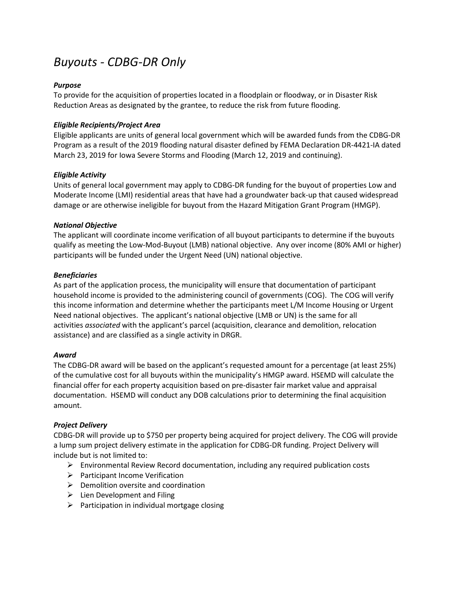# *Buyouts - CDBG-DR Only*

# *Purpose*

To provide for the acquisition of properties located in a floodplain or floodway, or in Disaster Risk Reduction Areas as designated by the grantee, to reduce the risk from future flooding.

## *Eligible Recipients/Project Area*

Eligible applicants are units of general local government which will be awarded funds from the CDBG-DR Program as a result of the 2019 flooding natural disaster defined by FEMA Declaration DR-4421-IA dated March 23, 2019 for Iowa Severe Storms and Flooding (March 12, 2019 and continuing).

### *Eligible Activity*

Units of general local government may apply to CDBG-DR funding for the buyout of properties Low and Moderate Income (LMI) residential areas that have had a groundwater back-up that caused widespread damage or are otherwise ineligible for buyout from the Hazard Mitigation Grant Program (HMGP).

### *National Objective*

The applicant will coordinate income verification of all buyout participants to determine if the buyouts qualify as meeting the Low-Mod-Buyout (LMB) national objective. Any over income (80% AMI or higher) participants will be funded under the Urgent Need (UN) national objective.

# *Beneficiaries*

As part of the application process, the municipality will ensure that documentation of participant household income is provided to the administering council of governments (COG). The COG will verify this income information and determine whether the participants meet L/M Income Housing or Urgent Need national objectives. The applicant's national objective (LMB or UN) is the same for all activities *associated* with the applicant's parcel (acquisition, clearance and demolition, relocation assistance) and are classified as a single activity in DRGR.

### *Award*

The CDBG-DR award will be based on the applicant's requested amount for a percentage (at least 25%) of the cumulative cost for all buyouts within the municipality's HMGP award. HSEMD will calculate the financial offer for each property acquisition based on pre-disaster fair market value and appraisal documentation. HSEMD will conduct any DOB calculations prior to determining the final acquisition amount.

### *Project Delivery*

CDBG-DR will provide up to \$750 per property being acquired for project delivery. The COG will provide a lump sum project delivery estimate in the application for CDBG-DR funding. Project Delivery will include but is not limited to:

- $\triangleright$  Environmental Review Record documentation, including any required publication costs
- $\triangleright$  Participant Income Verification
- $\triangleright$  Demolition oversite and coordination
- $\triangleright$  Lien Development and Filing
- $\triangleright$  Participation in individual mortgage closing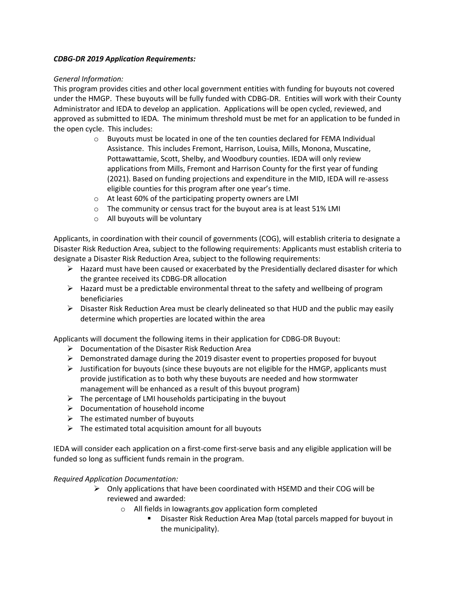### *CDBG-DR 2019 Application Requirements:*

# *General Information:*

This program provides cities and other local government entities with funding for buyouts not covered under the HMGP. These buyouts will be fully funded with CDBG-DR. Entities will work with their County Administrator and IEDA to develop an application. Applications will be open cycled, reviewed, and approved as submitted to IEDA. The minimum threshold must be met for an application to be funded in the open cycle. This includes:

- $\circ$  Buyouts must be located in one of the ten counties declared for FEMA Individual Assistance. This includes Fremont, Harrison, Louisa, Mills, Monona, Muscatine, Pottawattamie, Scott, Shelby, and Woodbury counties. IEDA will only review applications from Mills, Fremont and Harrison County for the first year of funding (2021). Based on funding projections and expenditure in the MID, IEDA will re-assess eligible counties for this program after one year's time.
- o At least 60% of the participating property owners are LMI
- o The community or census tract for the buyout area is at least 51% LMI
- o All buyouts will be voluntary

Applicants, in coordination with their council of governments (COG), will establish criteria to designate a Disaster Risk Reduction Area, subject to the following requirements: Applicants must establish criteria to designate a Disaster Risk Reduction Area, subject to the following requirements:

- $\triangleright$  Hazard must have been caused or exacerbated by the Presidentially declared disaster for which the grantee received its CDBG-DR allocation
- $\triangleright$  Hazard must be a predictable environmental threat to the safety and wellbeing of program beneficiaries
- $\triangleright$  Disaster Risk Reduction Area must be clearly delineated so that HUD and the public may easily determine which properties are located within the area

Applicants will document the following items in their application for CDBG-DR Buyout:

- $\triangleright$  Documentation of the Disaster Risk Reduction Area
- Demonstrated damage during the 2019 disaster event to properties proposed for buyout
- $\triangleright$  Justification for buyouts (since these buyouts are not eligible for the HMGP, applicants must provide justification as to both why these buyouts are needed and how stormwater management will be enhanced as a result of this buyout program)
- $\triangleright$  The percentage of LMI households participating in the buyout
- $\triangleright$  Documentation of household income
- $\triangleright$  The estimated number of buyouts
- $\triangleright$  The estimated total acquisition amount for all buyouts

IEDA will consider each application on a first-come first-serve basis and any eligible application will be funded so long as sufficient funds remain in the program.

*Required Application Documentation:*

- $\triangleright$  Only applications that have been coordinated with HSEMD and their COG will be reviewed and awarded:
	- o All fields in Iowagrants.gov application form completed
		- Disaster Risk Reduction Area Map (total parcels mapped for buyout in the municipality).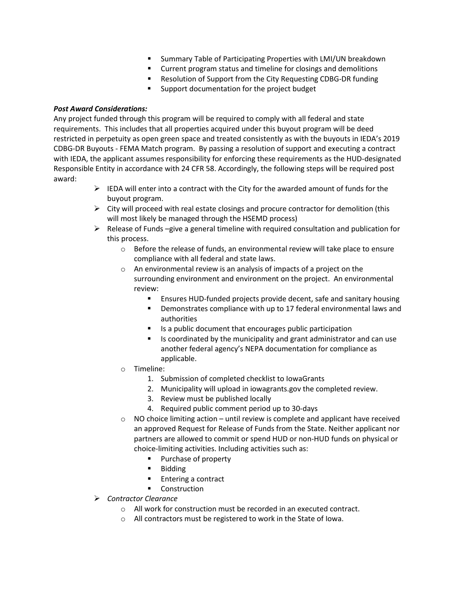- Summary Table of Participating Properties with LMI/UN breakdown
- **EXTEND FIGUREY CURRENT CONTINUITY** Current program status and thermalitions
- Resolution of Support from the City Requesting CDBG-DR funding
- Support documentation for the project budget

# *Post Award Considerations:*

Any project funded through this program will be required to comply with all federal and state requirements. This includes that all properties acquired under this buyout program will be deed restricted in perpetuity as open green space and treated consistently as with the buyouts in IEDA's 2019 CDBG-DR Buyouts - FEMA Match program. By passing a resolution of support and executing a contract with IEDA, the applicant assumes responsibility for enforcing these requirements as the HUD-designated Responsible Entity in accordance with 24 CFR 58. Accordingly, the following steps will be required post award:

- $\triangleright$  IEDA will enter into a contract with the City for the awarded amount of funds for the buyout program.
- $\triangleright$  City will proceed with real estate closings and procure contractor for demolition (this will most likely be managed through the HSEMD process)
- $\triangleright$  Release of Funds –give a general timeline with required consultation and publication for this process.
	- o Before the release of funds, an environmental review will take place to ensure compliance with all federal and state laws.
	- $\circ$  An environmental review is an analysis of impacts of a project on the surrounding environment and environment on the project. An environmental review:
		- **Ensures HUD-funded projects provide decent, safe and sanitary housing**
		- **•** Demonstrates compliance with up to 17 federal environmental laws and authorities
		- Is a public document that encourages public participation
		- $\blacksquare$  Is coordinated by the municipality and grant administrator and can use another federal agency's NEPA documentation for compliance as applicable.
	- o Timeline:
		- 1. Submission of completed checklist to IowaGrants
		- 2. Municipality will upload in iowagrants.gov the completed review.
		- 3. Review must be published locally
		- 4. Required public comment period up to 30-days
	- $\circ$  NO choice limiting action until review is complete and applicant have received an approved Request for Release of Funds from the State. Neither applicant nor partners are allowed to commit or spend HUD or non-HUD funds on physical or choice-limiting activities. Including activities such as:
		- **Purchase of property**
		- **Bidding**
		- **Entering a contract**
		- **Construction**
- *Contractor Clearance*
	- o All work for construction must be recorded in an executed contract.
	- o All contractors must be registered to work in the State of Iowa.